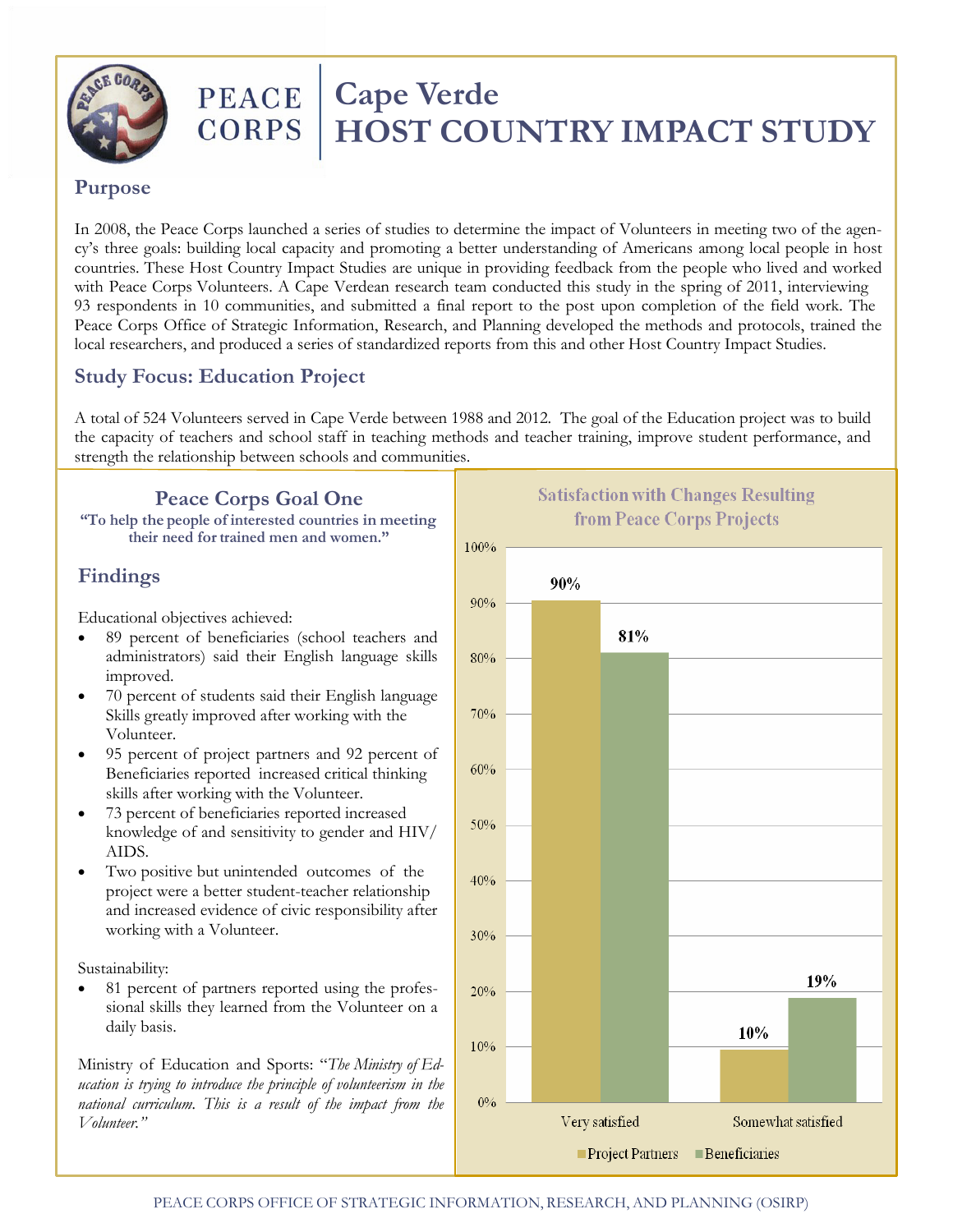

## **PEACE CORPS**

# **Cape Verde HOST COUNTRY IMPACT STUDY**

#### **Purpose**

In 2008, the Peace Corps launched a series of studies to determine the impact of Volunteers in meeting two of the agency's three goals: building local capacity and promoting a better understanding of Americans among local people in host countries. These Host Country Impact Studies are unique in providing feedback from the people who lived and worked with Peace Corps Volunteers. A Cape Verdean research team conducted this study in the spring of 2011, interviewing 93 respondents in 10 communities, and submitted a final report to the post upon completion of the field work. The Peace Corps Office of Strategic Information, Research, and Planning developed the methods and protocols, trained the local researchers, and produced a series of standardized reports from this and other Host Country Impact Studies.

### **Study Focus: Education Project**

A total of 524 Volunteers served in Cape Verde between 1988 and 2012. The goal of the Education project was to build the capacity of teachers and school staff in teaching methods and teacher training, improve student performance, and strength the relationship between schools and communities.

## **Peace Corps Goal One**

**"To help the people of interested countries in meeting their need fortrained men and women."**

### **Findings**

Educational objectives achieved:

- 89 percent of beneficiaries (school teachers and administrators) said their English language skills improved.
- 70 percent of students said their English language Skills greatly improved after working with the Volunteer.
- 95 percent of project partners and 92 percent of Beneficiaries reported increased critical thinking skills after working with the Volunteer.
- 73 percent of beneficiaries reported increased knowledge of and sensitivity to gender and HIV/ AIDS.
- Two positive but unintended outcomes of the project were a better student-teacher relationship and increased evidence of civic responsibility after working with a Volunteer.

Sustainability:

• 81 percent of partners reported using the professional skills they learned from the Volunteer on a daily basis.

Ministry of Education and Sports: "*The Ministry of Education is trying to introduce the principle of volunteerism in the national curriculum. This is a result of the impact from the Volunteer."*

**Satisfaction with Changes Resulting** from Peace Corps Projects